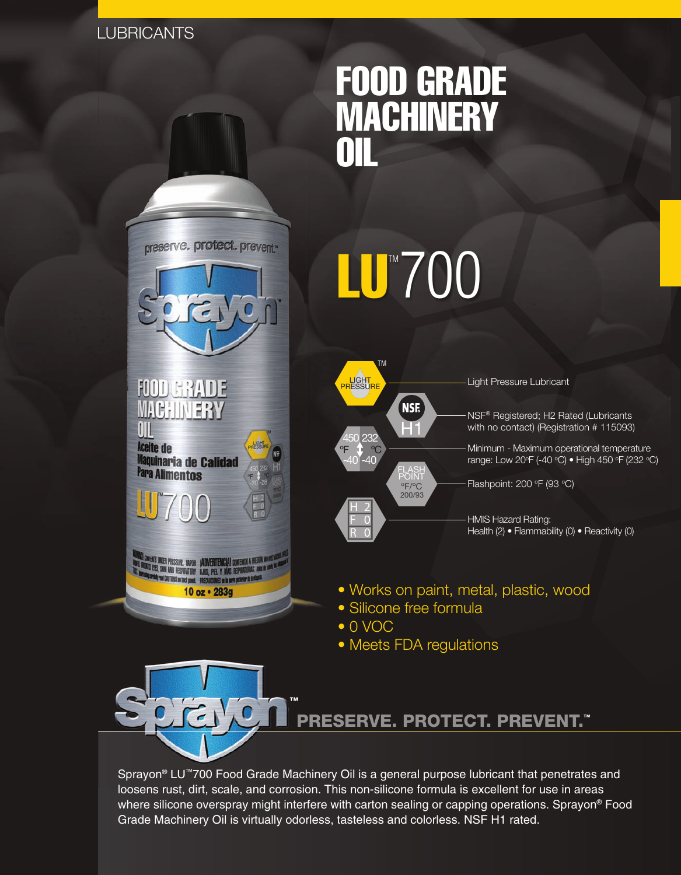# **LUBRICANTS**



NIBATS UNDER PRESSURE. WAPOR : JADVERTENCIA! CONTENUO A PRE<br>13 Fres, Soun And Respiratory : Ojos, Piel y Vías respiratoras.<br>1 Frank Prix Patterns : . **ITONS on back panel. PRECA!** 

10 oz · 283g

VES en la parte paterior de la

# FOOD GRADE **MACHINERY** OIL





Light Pressure Lubricant

NSF® Registered; H2 Rated (Lubricants with no contact) (Registration # 115093)

Minimum - Maximum operational temperature range: Low 20°F (-40 °C) • High 450 °F (232 °C)

Flashpoint: 200  $\mathrm{P}$  (93  $\mathrm{O}$ )

HMIS Hazard Rating: Health (2) • Flammability (0) • Reactivity (0)

- Works on paint, metal, plastic, wood
- Silicone free formula
- 0 VOC
- Meets FDA regulations



Sprayon® LU™700 Food Grade Machinery Oil is a general purpose lubricant that penetrates and loosens rust, dirt, scale, and corrosion. This non-silicone formula is excellent for use in areas where silicone overspray might interfere with carton sealing or capping operations. Sprayon<sup>®</sup> Food Grade Machinery Oil is virtually odorless, tasteless and colorless. NSF H1 rated.